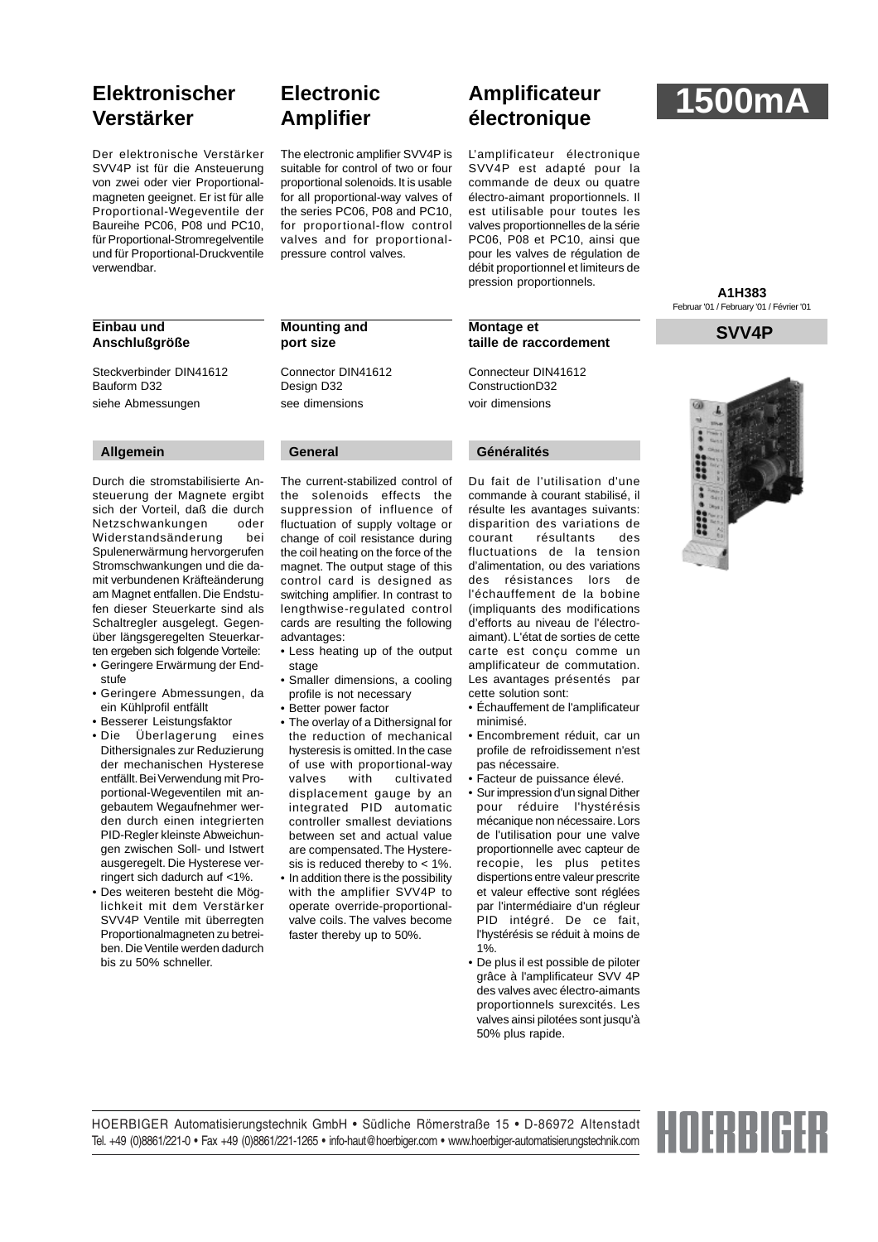# **Elektronischer Verstärker**

Der elektronische Verstärker SVV4P ist für die Ansteuerung von zwei oder vier Proportionalmagneten geeignet. Er ist für alle Proportional-Wegeventile der Baureihe PC06, P08 und PC10, für Proportional-Stromregelventile und für Proportional-Druckventile verwendbar.

#### **Einbau und Anschlußgröße**

Steckverbinder DIN41612 Bauform D32 siehe Abmessungen

#### **Allgemein**

Durch die stromstabilisierte Ansteuerung der Magnete ergibt sich der Vorteil, daß die durch Netzschwankungen oder Widerstandsänderung bei Spulenerwärmung hervorgerufen Stromschwankungen und die damit verbundenen Kräfteänderung am Magnet entfallen. Die Endstufen dieser Steuerkarte sind als Schaltregler ausgelegt. Gegenüber längsgeregelten Steuerkarten ergeben sich folgende Vorteile:

- Geringere Erwärmung der Endstufe
- Geringere Abmessungen, da ein Kühlprofil entfällt

• Besserer Leistungsfaktor

- Die Überlagerung eines Dithersignales zur Reduzierung der mechanischen Hysterese entfällt. Bei Verwendung mit Proportional-Wegeventilen mit angebautem Wegaufnehmer werden durch einen integrierten PID-Regler kleinste Abweichungen zwischen Soll- und Istwert ausgeregelt. Die Hysterese verringert sich dadurch auf <1%.
- Des weiteren besteht die Möglichkeit mit dem Verstärker SVV4P Ventile mit überregten Proportionalmagneten zu betreiben. Die Ventile werden dadurch bis zu 50% schneller.

# **Electronic Amplifier**

**Mounting and port size**

**General**

advantages:

stage

Connector DIN41612 Design D32 see dimensions

The current-stabilized control of the solenoids effects the suppression of influence of fluctuation of supply voltage or change of coil resistance during the coil heating on the force of the magnet. The output stage of this control card is designed as switching amplifier. In contrast to lengthwise-regulated control cards are resulting the following

• Less heating up of the output

• Smaller dimensions, a cooling profile is not necessary • Better power factor

• The overlay of a Dithersignal for the reduction of mechanical hysteresis is omitted. In the case of use with proportional-way valves with cultivated displacement gauge by an integrated PID automatic controller smallest deviations between set and actual value are compensated. The Hysteresis is reduced thereby to  $<$  1%. • In addition there is the possibility with the amplifier SVV4P to operate override-proportionalvalve coils. The valves become faster thereby up to 50%.

The electronic amplifier SVV4P is suitable for control of two or four proportional solenoids. It is usable for all proportional-way valves of the series PC06, P08 and PC10, for proportional-flow control valves and for proportionalpressure control valves.

# **Amplificateur électronique 1500mA**

L'amplificateur électronique SVV4P est adapté pour la commande de deux ou quatre électro-aimant proportionnels. Il est utilisable pour toutes les valves proportionnelles de la série PC06, P08 et PC10, ainsi que pour les valves de régulation de débit proportionnel et limiteurs de pression proportionnels.

#### **Montage et taille de raccordement**

Connecteur DIN41612 ConstructionD32 voir dimensions

#### **Généralités**

Du fait de l'utilisation d'une commande à courant stabilisé, il résulte les avantages suivants: disparition des variations de courant résultants des fluctuations de la tension d'alimentation, ou des variations des résistances lors de l'échauffement de la bobine (impliquants des modifications d'efforts au niveau de l'électroaimant). L'état de sorties de cette carte est conçu comme un amplificateur de commutation. Les avantages présentés par cette solution sont:

- Échauffement de l'amplificateur minimisé.
- Encombrement réduit, car un profile de refroidissement n'est pas nécessaire.
- Facteur de puissance élevé.
- Sur impression d'un signal Dither pour réduire l'hystérésis mécanique non nécessaire. Lors de l'utilisation pour une valve proportionnelle avec capteur de recopie, les plus petites dispertions entre valeur prescrite et valeur effective sont réglées par l'intermédiaire d'un régleur PID intégré. De ce fait, l'hystérésis se réduit à moins de 1%.
- De plus il est possible de piloter grâce à l'amplificateur SVV 4P des valves avec électro-aimants proportionnels surexcités. Les valves ainsi pilotées sont jusqu'à 50% plus rapide.

**A1H383** Februar '01 / February '01 / Février '01

## **SVV4P**



HOERBIGER Automatisierungstechnik GmbH • Südliche Römerstraße 15 • D-86972 Altenstadt Tel. +49 (0)8861/221-0 • Fax +49 (0)8861/221-1265 • info-haut@hoerbiger.com • www.hoerbiger-automatisierungstechnik.com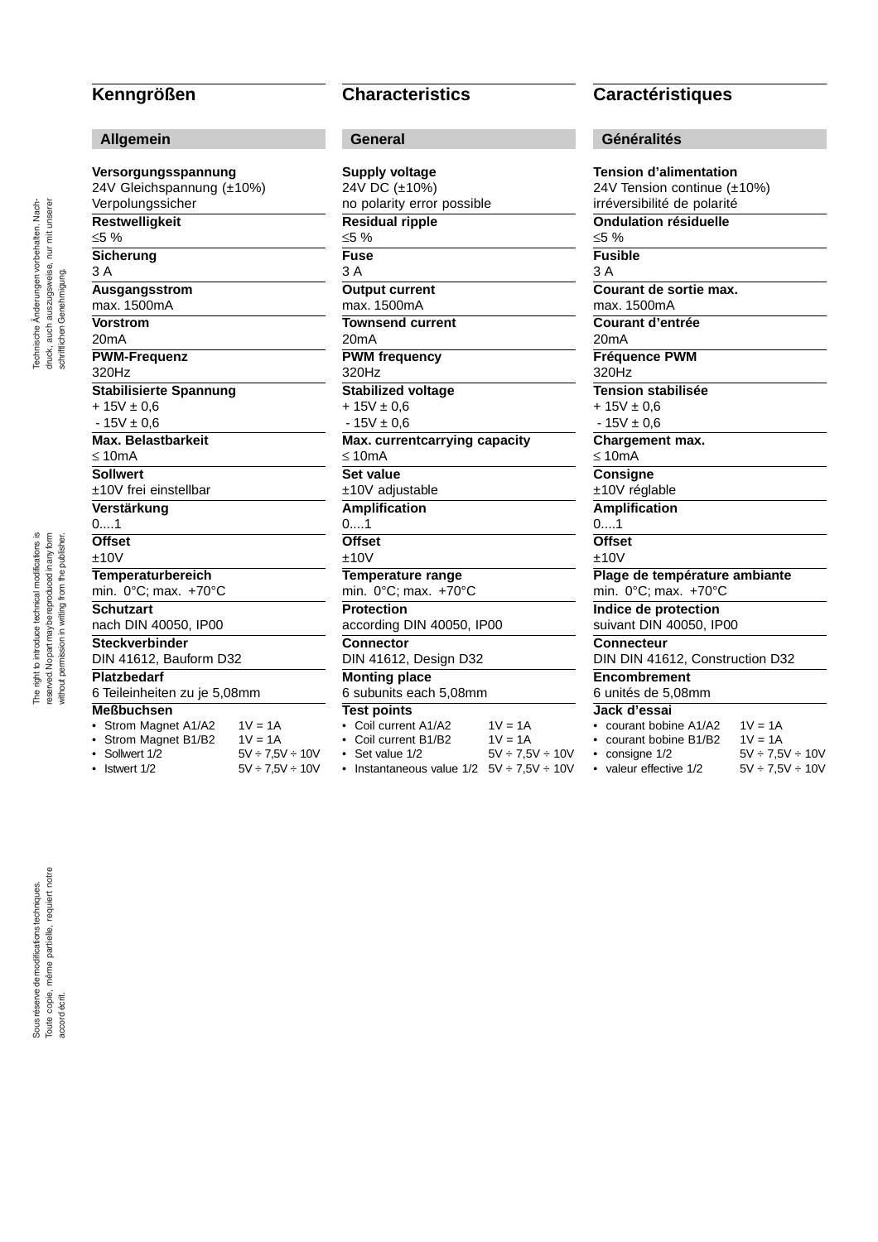## **Kenngrößen**

## **Allgemein**

**Versorgungsspannung** 24V Gleichspannung (±10%) Verpolungssicher **Restwelligkeit** ≤5 % **Sicherung** 3 A **Ausgangsstrom** max. 1500mA **Vorstrom** 20mA **PWM-Frequenz** 320Hz **Stabilisierte Spannung**  $+ 15V \pm 0.6$  $-15V \pm 0.6$ **Max. Belastbarkeit** ≤ 10mA **Sollwert** ±10V frei einstellbar **Verstärkung** 0....1 **Offset**  $±10V$ **Temperaturbereich** min. 0°C; max. +70°C **Schutzart** nach DIN 40050, IP00 **Steckverbinder** DIN 41612, Bauform D32 **Platzbedarf** 6 Teileinheiten zu je 5,08mm **Meßbuchsen** • Strom Magnet A1/A2 1V = 1A

- Sollwert  $1/\overline{2}$  5V ÷ 7,5V ÷ 10V<br>• Istwert 1/2 5V ÷ 7,5V ÷ 10V
- 

• Strom Magnet B1/B2  $1V = 1A$ <br>• Sollwert  $1/2$   $5V \div 7.5N$ 

 $5V \div 7,5V \div 10V$ 

- 
- 

# **Characteristics**

## **General**

| Supply voltage                          |                                                    |
|-----------------------------------------|----------------------------------------------------|
| 24V DC (±10%)                           |                                                    |
| no polarity error possible              |                                                    |
| Residual ripple                         |                                                    |
| ≤5 %                                    |                                                    |
| $F$ use                                 |                                                    |
| 3 A                                     |                                                    |
| <b>Output current</b>                   |                                                    |
| max. 1500mA                             |                                                    |
| <b>Townsend current</b>                 |                                                    |
| 20mA                                    |                                                    |
| <b>PWM</b> frequency                    |                                                    |
| 320Hz                                   |                                                    |
| Stabilized voltage                      |                                                    |
| $+15V \pm 0.6$                          |                                                    |
| $-15V \pm 0.6$                          |                                                    |
| Max. currentcarrying capacity           |                                                    |
| $\leq 10$ mA                            |                                                    |
| Set value                               |                                                    |
| ±10V adjustable                         |                                                    |
| <b>Amplification</b>                    |                                                    |
| 01                                      |                                                    |
| <b>Offset</b>                           |                                                    |
| ±10V                                    |                                                    |
| Temperature range                       |                                                    |
| min. 0°C; max. +70°C                    |                                                    |
| <b>Protection</b>                       |                                                    |
| according DIN 40050, IP00               |                                                    |
| <b>Connector</b>                        |                                                    |
| DIN 41612, Design D32                   |                                                    |
| <b>Monting place</b>                    |                                                    |
| 6 subunits each 5,08mm                  |                                                    |
| <b>Test points</b>                      |                                                    |
| • Coil current A1/A2                    | $1V = 1A$                                          |
| • Coil current B1/B2<br>• Set value 1/2 | $1V = 1A$                                          |
| · Instantaneous value 1/2               | $5V \div 7,5V \div 10V$<br>$5V \div 7,5V \div 10V$ |
|                                         |                                                    |

# **Caractéristiques**

## **Généralités**

|     | <b>Tension d'alimentation</b>        |                        |
|-----|--------------------------------------|------------------------|
|     | 24V Tension continue (±10%)          |                        |
|     | irréversibilité de polarité          |                        |
|     | <b>Ondulation résiduelle</b>         |                        |
|     | ≤5 %                                 |                        |
|     | <b>Fusible</b>                       |                        |
|     | 3 A                                  |                        |
|     | Courant de sortie max.               |                        |
|     | max. 1500mA                          |                        |
|     | Courant d'entrée                     |                        |
|     | 20 <sub>m</sub> A                    |                        |
|     | <b>Fréquence PWM</b>                 |                        |
|     | 320Hz                                |                        |
|     | <b>Tension stabilisée</b>            |                        |
|     | $+15V \pm 0.6$                       |                        |
|     | $-15V \pm 0.6$                       |                        |
|     | Chargement max.                      |                        |
|     | $\leq 10$ mA                         |                        |
|     | <b>Consigne</b>                      |                        |
|     | ±10V réglable                        |                        |
|     | <b>Amplification</b>                 |                        |
|     | 01                                   |                        |
|     | <b>Offset</b>                        |                        |
|     | ±10V                                 |                        |
|     | Plage de température ambiante        |                        |
|     | min. 0°C; max. +70°C                 |                        |
|     | Indice de protection                 |                        |
|     | suivant DIN 40050, IP00              |                        |
|     | Connecteur                           |                        |
|     | DIN DIN 41612, Construction D32      |                        |
|     | <b>Encombrement</b>                  |                        |
|     | 6 unités de 5,08mm                   |                        |
|     | Jack d'essai                         |                        |
|     | courant bobine A1/A2                 | $1V = 1A$<br>$1V = 1A$ |
| 10V | courant bobine B1/B2<br>consigne 1/2 | 5V ÷ 7,5V ÷ 10V        |
|     |                                      |                        |

- valeur effective  $1/2$  5V  $\div$  7,5V  $\div$  10V
- -

The right to introduce technical modifications is reserved. No part may be reproduced in any form without permission in writing from the publisher.

reserved. No partmay be reproduced in any form<br>without permission in writing from the publisher. The right to introduce technical modifications is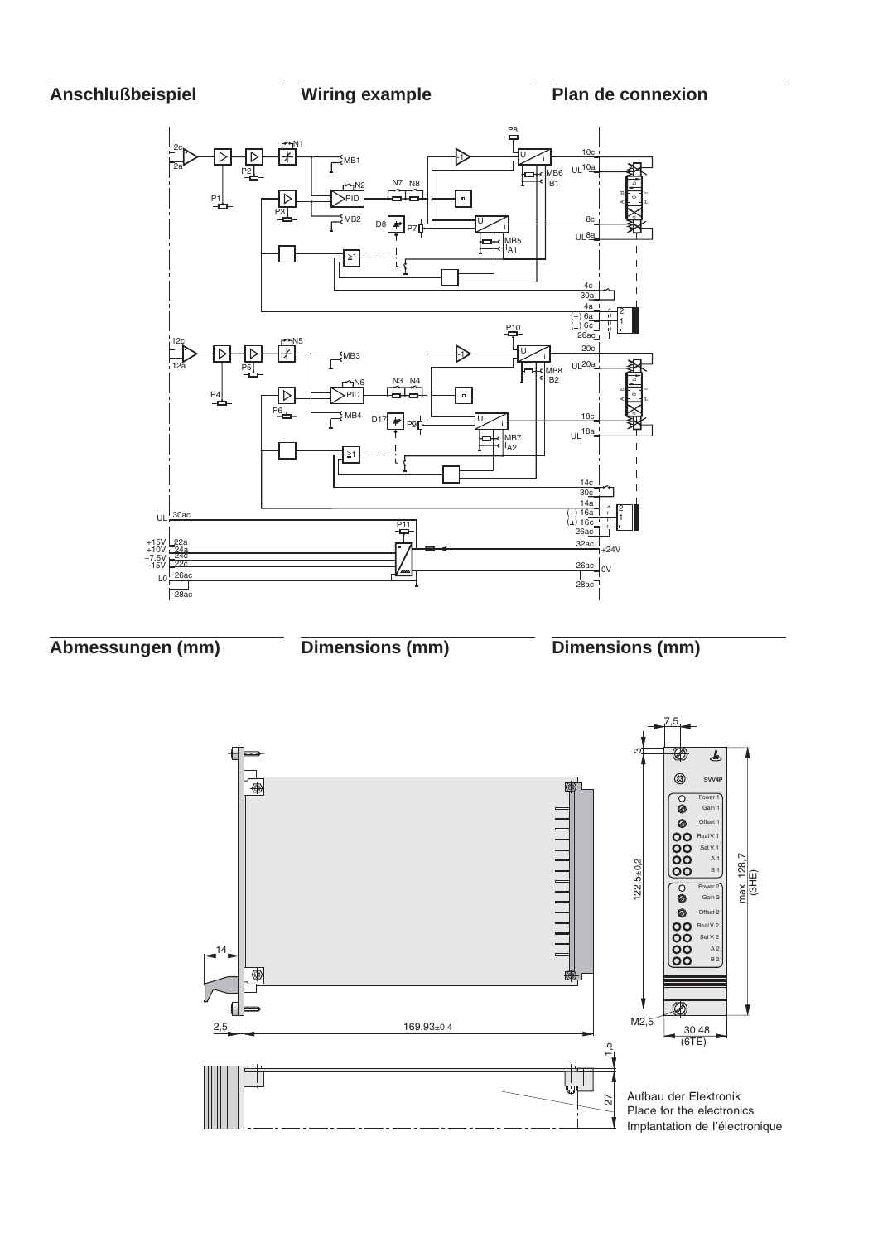